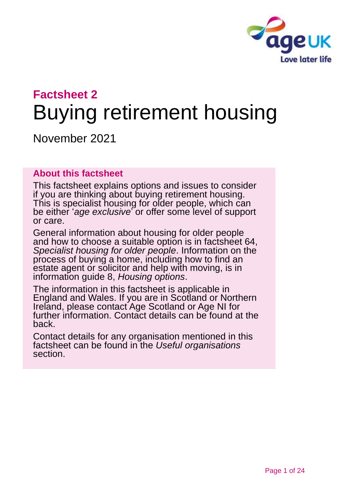

# **Factsheet 2** Buying retirement housing

November 2021

### **About this factsheet**

This factsheet explains options and issues to consider if you are thinking about buying retirement housing. This is specialist housing for older people, which can be either '*age exclusive*' or offer some level of support or care.

General information about housing for older people and how to choose a suitable option is [in factsheet 64,](https://www.ageuk.org.uk/globalassets/age-uk/documents/factsheets/fs64_specialist_housing_for_older_people_fcs.pdf)  *[Specialist housing for older people](https://www.ageuk.org.uk/globalassets/age-uk/documents/factsheets/fs64_specialist_housing_for_older_people_fcs.pdf)*. Information on the process of buying a home, including how to find an estate agent or solicitor and help with moving, is in information guide 8, *[Housing options](https://www.ageuk.org.uk/globalassets/age-uk/documents/information-guides/ageukig08_housing_options_inf.pdf)*.

The information in this factsheet is applicable in England and Wales. If you are in Scotland or Northern Ireland, please contact [Age Scotland](#page-22-0) or [Age NI fo](#page-22-1)r further information. Contact details can be found at the back.

Contact details for any organisation mentioned in this factsheet can be found in the *[Useful organisations](#page-19-0)* section.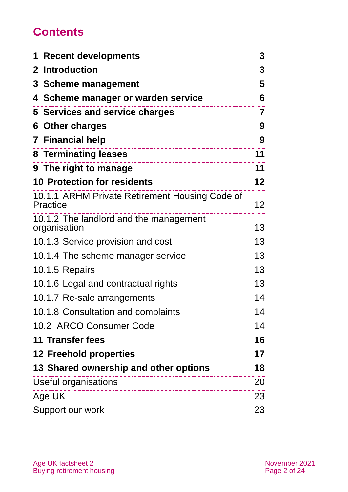# **Contents**

| <b>1 Recent developments</b>                               | 3                       |
|------------------------------------------------------------|-------------------------|
| 2 Introduction                                             | 3                       |
| 3 Scheme management                                        | 5                       |
| 4 Scheme manager or warden service                         | 6                       |
| 5 Services and service charges                             | $\overline{\mathbf{7}}$ |
| 6 Other charges                                            | 9                       |
| <b>7 Financial help</b>                                    | 9                       |
| 8 Terminating leases                                       | 11                      |
| 9 The right to manage                                      | 11                      |
| <b>10 Protection for residents</b>                         | $12 \,$                 |
| 10.1.1 ARHM Private Retirement Housing Code of<br>Practice | 12                      |
| 10.1.2 The landlord and the management<br>organisation     | 13                      |
| 10.1.3 Service provision and cost                          | 13                      |
| 10.1.4 The scheme manager service                          | 13                      |
| 10.1.5 Repairs                                             | 13                      |
| 10.1.6 Legal and contractual rights                        | 13                      |
| 10.1.7 Re-sale arrangements                                | 14                      |
| 10.1.8 Consultation and complaints                         | 14                      |
| 10.2 ARCO Consumer Code                                    | 14                      |
| <b>11 Transfer fees</b>                                    | 16                      |
| <b>12 Freehold properties</b>                              | 17                      |
| 13 Shared ownership and other options                      | 18                      |
| Useful organisations                                       | 20                      |
| Age UK                                                     | 23                      |
| Support our work                                           | 23                      |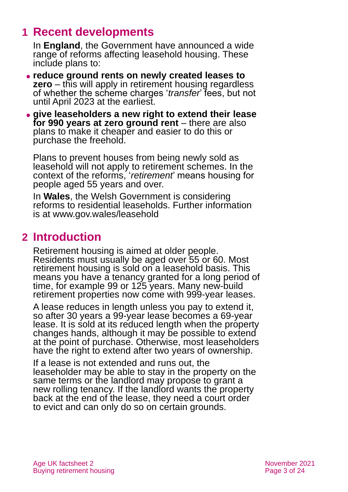## <span id="page-2-0"></span>**1 Recent developments**

In **England**, the Government have announced a wide range of reforms affecting leasehold housing. These include plans to:

- ⚫ **reduce ground rents on newly created leases to zero** – this will apply in retirement housing regardless of whether the scheme charges '*transfer*' fees, but not until April 2023 at the earliest.
- ⚫ **give leaseholders a new right to extend their lease for 990 years at zero ground rent** – there are also plans to make it cheaper and easier to do this or purchase the freehold.

Plans to prevent houses from being newly sold as leasehold will not apply to retirement schemes. In the context of the reforms, '*retirement*' means housing for people aged 55 years and over.

In **Wales**, the Welsh Government is considering reforms to residential leaseholds. Further information is at [www.gov.wales/leasehold](http://www.gov.wales/leasehold)

### <span id="page-2-1"></span>**2 Introduction**

Retirement housing is aimed at older people. Residents must usually be aged over 55 or 60. Most retirement housing is sold on a leasehold basis. This means you have a tenancy granted for a long period of time, for example 99 or 125 years. Many new-build retirement properties now come with 999-year leases.

A lease reduces in length unless you pay to extend it, so after 30 years a 99-year lease becomes a 69-year lease. It is sold at its reduced length when the property changes hands, although it may be possible to extend at the point of purchase. Otherwise, most leaseholders have the right to extend after two years of ownership.

If a lease is not extended and runs out, the leaseholder may be able to stay in the property on the same terms or the landlord may propose to grant a new rolling tenancy. If the landlord wants the property back at the end of the lease, they need a court order to evict and can only do so on certain grounds.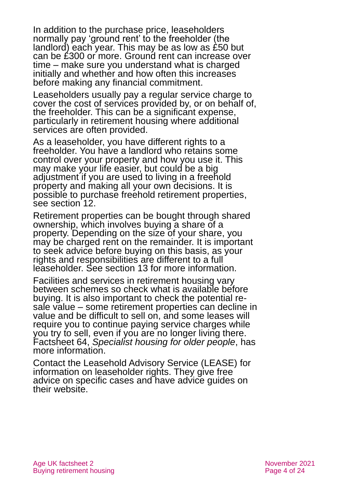In addition to the purchase price, leaseholders normally pay 'ground rent' to the freeholder (the landlord) each year. This may be as low as £50 but can be £300 or more. Ground rent can increase over time – make sure you understand what is charged initially and whether and how often this increases before making any financial commitment.

Leaseholders usually pay a regular service charge to cover the cost of services provided by, or on behalf of, the freeholder. This can be a significant expense, particularly in retirement housing where additional services are often provided.

As a leaseholder, you have different rights to a freeholder. You have a landlord who retains some control over your property and how you use it. This may make your life easier, but could be a big adjustment if you are used to living in a freehold property and making all your own decisions. It is possible to purchase freehold retirement properties, see [section 12.](#page-16-0)

Retirement properties can be bought through shared ownership, which involves buying a share of a property. Depending on the size of your share, you may be charged rent on the remainder. It is important to seek advice before buying on this basis, as your rights and responsibilities are different to a full leaseholder. [See section 13](#page-17-0) for more information.

Facilities and services in retirement housing vary between schemes so check what is available before buying. It is also important to check the potential resale value – some retirement properties can decline in value and be difficult to sell on, and some leases will require you to continue paying service charges while you try to sell, even if you are no longer living there. Factsheet 64, *[Specialist housing for older people](https://www.ageuk.org.uk/globalassets/age-uk/documents/factsheets/fs64_specialist_housing_for_older_people_fcs.pdf)*, has more information.

Contact the [Leasehold Advisory Service \(LEASE\)](http://www.lease-advice.org/) for information on leaseholder rights. They give free advice on specific cases and have advice guides on their website.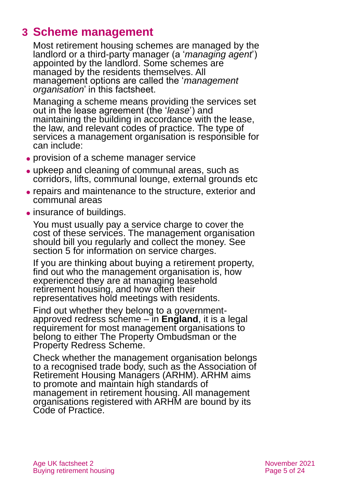### <span id="page-4-0"></span>**3 Scheme management**

Most retirement housing schemes are managed by the landlord or a third-party manager (a '*managing agent*') appointed by the landlord. Some schemes are managed by the residents themselves. All management options are called the '*management organisation*' in this factsheet.

Managing a scheme means providing the services set out in the lease agreement (the '*lease*') and maintaining the building in accordance with the lease, the law, and relevant codes of practice. The type of services a management organisation is responsible for can include:

- ⚫ provision of a scheme manager service
- ⚫ upkeep and cleaning of communal areas, such as corridors, lifts, communal lounge, external grounds etc
- ⚫ repairs and maintenance to the structure, exterior and communal areas
- insurance of buildings.

You must usually pay a service charge to cover the cost of these services. The management organisation should bill you regularly and collect the money. See [section 5](#page-6-0) for information on service charges.

If you are thinking about buying a retirement property, find out who the management organisation is, how experienced they are at managing leasehold retirement housing, and how often their representatives hold meetings with residents.

Find out whether they belong to a governmentapproved redress scheme – in **England**, it is a legal requirement for most management organisations to belong to either The Property Ombudsman or the Property Redress Scheme.

Check whether the management organisation belongs to a recognised trade body, such as [the Association of](#page-19-0)  [Retirement Housing Managers \(ARHM\).](#page-19-0) ARHM aims to promote and maintain high standards of management in retirement housing. All management organisations registered with ARHM are bound by its Code of Practice.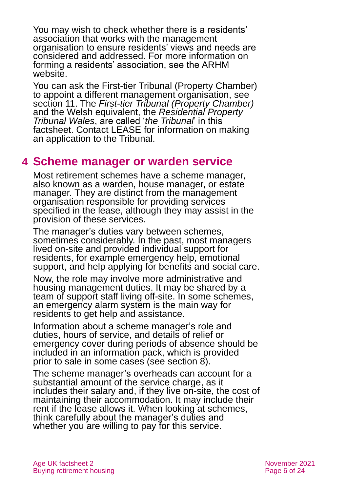You may wish to check whether there is a residents' association that works with the management organisation to ensure residents' views and needs are considered and addressed. For more information on forming a residents' association, see the [ARHM](#page-19-0)  [website.](#page-19-0)

You can ask the First-tier Tribunal (Property Chamber) to appoint a different management organisation, see [section 11.](#page-15-0) The *First-tier Tribunal (Property Chamber)* and the Welsh equivalent, the *Residential Property Tribunal Wales*, are called '*the Tribunal*' in this factsheet. [Contact LEASE](http://www.lease-advice.org/) for information on making an application to the Tribunal.

### <span id="page-5-0"></span>**4 Scheme manager or warden service**

Most retirement schemes have a scheme manager, also known as a warden, house manager, or estate manager. They are distinct from the management organisation responsible for providing services specified in the lease, although they may assist in the provision of these services.

The manager's duties vary between schemes, sometimes considerably. In the past, most managers lived on-site and provided individual support for residents, for example emergency help, emotional support, and help applying for benefits and social care.

Now, the role may involve more administrative and housing management duties. It may be shared by a team of support staff living off-site. In some schemes, an emergency alarm system is the main way for residents to get help and assistance.

Information about a scheme manager's role and duties, hours of service, and details of relief or emergency cover during periods of absence should be included in an information pack, which is provided prior to sale in some cases (see [section 8\)](#page-10-0).

The scheme manager's overheads can account for a substantial amount of the service charge, as it includes their salary and, if they live on-site, the cost of maintaining their accommodation. It may include their rent if the lease allows it. When looking at schemes, think carefully about the manager's duties and whether you are willing to pay for this service.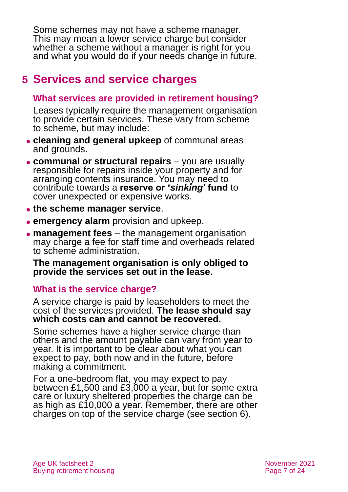Some schemes may not have a scheme manager. This may mean a lower service charge but consider whether a scheme without a manager is right for you and what you would do if your needs change in future.

# <span id="page-6-0"></span>**5 Services and service charges**

### **What services are provided in retirement housing?**

Leases typically require the management organisation to provide certain services. These vary from scheme to scheme, but may include:

- ⚫ **cleaning and general upkeep** of communal areas and grounds.
- ⚫ **communal or structural repairs**  you are usually responsible for repairs inside your property and for arranging contents insurance. You may need to contribute towards a **reserve or '***sinking***' fund** to cover unexpected or expensive works.
- ⚫ **the scheme manager service**.
- ⚫ **emergency alarm** provision and upkeep.
- ⚫ **management fees** the management organisation may charge a fee for staff time and overheads related to scheme administration.

**The management organisation is only obliged to provide the services set out in the lease.**

### **What is the service charge?**

A service charge is paid by leaseholders to meet the cost of the services provided. **The lease should say which costs can and cannot be recovered.**

Some schemes have a higher service charge than others and the amount payable can vary from year to year. It is important to be clear about what you can expect to pay, both now and in the future, before making a commitment.

For a one-bedroom flat, you may expect to pay between £1,500 and £3,000 a year, but for some extra care or luxury sheltered properties the charge can be as high as £10,000 a year. Remember, there are other charges on top of the service charge (see [section 6\)](#page-8-0).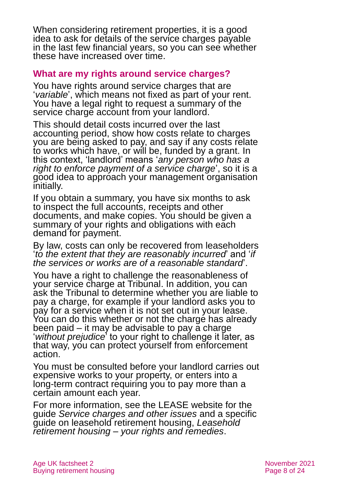When considering retirement properties, it is a good idea to ask for details of the service charges payable in the last few financial years, so you can see whether these have increased over time.

### **What are my rights around service charges?**

You have rights around service charges that are '*variable*', which means not fixed as part of your rent. You have a legal right to request a summary of the service charge account from your landlord.

This should detail costs incurred over the last accounting period, show how costs relate to charges you are being asked to pay, and say if any costs relate to works which have, or will be, funded by a grant. In this context, 'landlord' means '*any person who has a right to enforce payment of a service charge*', so it is a good idea to approach your management organisation initially.

If you obtain a summary, you have six months to ask to inspect the full accounts, receipts and other documents, and make copies. You should be given a summary of your rights and obligations with each demand for payment.

By law, costs can only be recovered from leaseholders '*to the extent that they are reasonably incurred*' and '*if the services or works are of a reasonable standard*'.

You have a right to challenge the reasonableness of your service charge at Tribunal. In addition, you can ask the Tribunal to determine whether you are liable to pay a charge, for example if your landlord asks you to pay for a service when it is not set out in your lease. You can do this whether or not the charge has already been paid – it may be advisable to pay a charge '*without prejudice*' to your right to challenge it later, as that way, you can protect yourself from enforcement action.

You must be consulted before your landlord carries out expensive works to your property, or enters into a long-term contract requiring you to pay more than a certain amount each year.

For more information, see the [LEASE](http://www.lease-advice.org/) website for the guide *[Service charges and other issues](https://www.lease-advice.org/advice-guide/service-charges-other-issues/)* and a specific guide on leasehold retirement housing, *[Leasehold](https://www.lease-advice.org/advice-guide/leasehold-retirement-housing/)  retirement housing – [your rights and remedies](https://www.lease-advice.org/advice-guide/leasehold-retirement-housing/)*.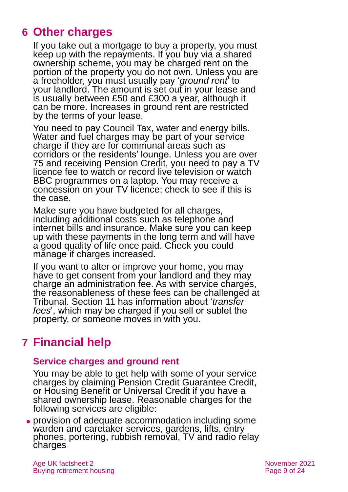## <span id="page-8-0"></span>**6 Other charges**

If you take out a mortgage to buy a property, you must keep up with the repayments. If you buy via a shared ownership scheme, you may be charged rent on the portion of the property you do not own. Unless you are a freeholder, you must usually pay '*ground rent*' to your landlord. The amount is set out in your lease and is usually between £50 and £300 a year, although it can be more. Increases in ground rent are restricted by the terms of your lease.

You need to pay Council Tax, water and energy bills. Water and fuel charges may be part of your service charge if they are for communal areas such as corridors or the residents' lounge. Unless you are over 75 and receiving Pension Credit, you need to pay a TV licence fee to watch or record live television or watch BBC programmes on a laptop. You may receive a concession on your TV licence; check to see if this is the case.

Make sure you have budgeted for all charges, including additional costs such as telephone and internet bills and insurance. Make sure you can keep up with these payments in the long term and will have a good quality of life once paid. Check you could manage if charges increased.

If you want to alter or improve your home, you may have to get consent from your landlord and they may charge an administration fee. As with service charges, the reasonableness of these fees can be challenged at Tribunal. [Section 11](#page-15-0) has information about '*transfer fees*', which may be charged if you sell or sublet the property, or someone moves in with you.

# <span id="page-8-1"></span>**7 Financial help**

### **Service charges and ground rent**

You may be able to get help with some of your service charges by claiming Pension Credit Guarantee Credit, or Housing Benefit or Universal Credit if you have a shared ownership lease. Reasonable charges for the following services are eligible:

⚫ provision of adequate accommodation including some warden and caretaker services, gardens, lifts, entry phones, portering, rubbish removal. TV and radio relay charges

Age UK factsheet 2 November 2021 Buying retirement housing Page 9 of 24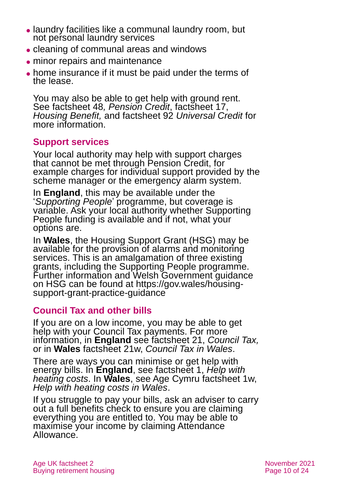- ⚫ laundry facilities like a communal laundry room, but not personal laundry services
- ⚫ cleaning of communal areas and windows
- ⚫ minor repairs and maintenance
- ⚫ home insurance if it must be paid under the terms of the lease.

You may also be able to get help with ground rent. See factsheet 48*, [Pension Credit](https://www.ageuk.org.uk/globalassets/age-uk/documents/factsheets/fs48_pension_credit_fcs.pdf)*, factsheet 17, *[Housing Benefit,](https://www.ageuk.org.uk/globalassets/age-uk/documents/factsheets/fs17_housing_benefit_fcs.pdf)* and factsheet 92 *[Universal Credit](https://www.ageuk.org.uk/globalassets/age-uk/documents/factsheets/fs92_universal_credit_fcs.pdf)* for more information.

### **Support services**

Your local authority may help with support charges that cannot be met through Pension Credit, for example charges for individual support provided by the scheme manager or the emergency alarm system.

In **England**, this may be available under the '*Supporting People*' programme, but coverage is variable. Ask your local authority whether Supporting People funding is available and if not, what your options are.

In **Wales**, the Housing Support Grant (HSG) may be available for the provision of alarms and monitoring services. This is an amalgamation of three existing grants, including the Supporting People programme. Further information and Welsh Government guidance on HSG can be found at [https://gov.wales/housing](https://gov.wales/housing-support-grant-practice-guidance)[support-grant-practice-guidance](https://gov.wales/housing-support-grant-practice-guidance)

### **Council Tax and other bills**

If you are on a low income, you may be able to get help with your Council Tax payments. For more information, in **England** see factsheet 21, *[Council](https://www.ageuk.org.uk/globalassets/age-uk/documents/factsheets/fs21_council_tax_fcs.pdf) Tax,* or in **Wales** factsheet 21w, *[Council Tax in Wales](https://www.ageuk.org.uk/globalassets/age-cymru/documents/information-guides-and-factsheets/fs21w.pdf)*.

There are ways you can minimise or get help with energy bills. In **England**, see factsheet 1, *[Help with](https://www.ageuk.org.uk/globalassets/age-uk/documents/factsheets/fs1_help_with_heating_costs_fcs.pdf)  [heating costs](https://www.ageuk.org.uk/globalassets/age-uk/documents/factsheets/fs1_help_with_heating_costs_fcs.pdf)*. In **Wales**, see Age Cymru factsheet 1w, *[Help with heating costs in Wales](https://www.ageuk.org.uk/globalassets/age-cymru/documents/information-guides-and-factsheets/fs1w.pdf)*.

If you struggle to pay your bills, ask an adviser to carry out a full benefits check to ensure you are claiming everything you are entitled to. You may be able to maximise your income by claiming Attendance Allowance.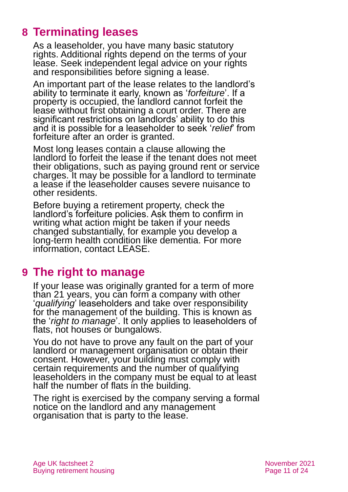# <span id="page-10-0"></span>**8 Terminating leases**

As a leaseholder, you have many basic statutory rights. Additional rights depend on the terms of your lease. Seek independent legal advice on your rights and responsibilities before signing a lease.

An important part of the lease relates to the landlord's ability to terminate it early, known as '*forfeiture*'. If a property is occupied, the landlord cannot forfeit the lease without first obtaining a court order. There are significant restrictions on landlords' ability to do this and it is possible for a leaseholder to seek '*relief*' from forfeiture after an order is granted.

Most long leases contain a clause allowing the landlord to forfeit the lease if the tenant does not meet their obligations, such as paying ground rent or service charges. It may be possible for a landlord to terminate a lease if the leaseholder causes severe nuisance to other residents.

Before buying a retirement property, check the landlord's forfeiture policies. Ask them to confirm in writing what action might be taken if your needs changed substantially, for example you develop a long-term health condition like dementia. For more information, contact [LEASE.](http://www.lease-advice.org/)

### <span id="page-10-1"></span>**9 The right to manage**

If your lease was originally granted for a term of more than 21 years, you can form a company with other '*qualifying*' leaseholders and take over responsibility for the management of the building. This is known as the '*right to manage*'. It only applies to leaseholders of flats, not houses or bungalows.

You do not have to prove any fault on the part of your landlord or management organisation or obtain their consent. However, your building must comply with certain requirements and the number of qualifying leaseholders in the company must be equal to at least half the number of flats in the building.

The right is exercised by the company serving a formal notice on the landlord and any management organisation that is party to the lease.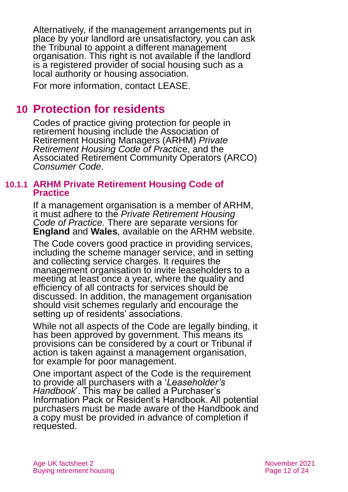Alternatively, if the management arrangements put in place by your landlord are unsatisfactory, you can ask the Tribunal to appoint a different management organisation. This right is not available if the landlord is a registered provider of social housing such as a local authority or housing association.

<span id="page-11-0"></span>For more information, contact [LEASE.](http://www.lease-advice.org/)

### **10 Protection for residents**

Codes of practice giving protection for people in retirement housing include the Association of Retirement Housing Managers (ARHM) *[Private](https://www.arhm.org/publication-category/code-of-practice/)  [Retirement Housing Code of Practic](https://www.arhm.org/publication-category/code-of-practice/)*e, and the Associated Retirement Community Operators (ARCO) *[Consumer Code](https://www.arcouk.org/arco-consumer-code)*.

#### **10.1.1 ARHM Private Retirement Housing Code of Practice**

If a management organisation is a member of ARHM, it must adhere to the *[Private Retirement Housing](https://www.arhm.org/publication-category/code-of-practice/)  [Code of Practice](https://www.arhm.org/publication-category/code-of-practice/).* There are separate versions for **England** and **Wales**, available on the [ARHM website.](#page-19-0)

The Code covers good practice in providing services, including the scheme manager service, and in setting and collecting service charges. It requires the management organisation to invite leaseholders to a meeting at least once a year, where the quality and efficiency of all contracts for services should be discussed. In addition, the management organisation should visit schemes regularly and encourage the setting up of residents' associations.

While not all aspects of the Code are legally binding, it has been approved by government. This means its provisions can be considered by a court or Tribunal if action is taken against a management organisation, for example for poor management.

One important aspect of the Code is the requirement to provide all purchasers with a '*Leaseholder's Handbook*'. This may be called a Purchaser's Information Pack or Resident's Handbook. All potential purchasers must be made aware of the Handbook and a copy must be provided in advance of completion if requested.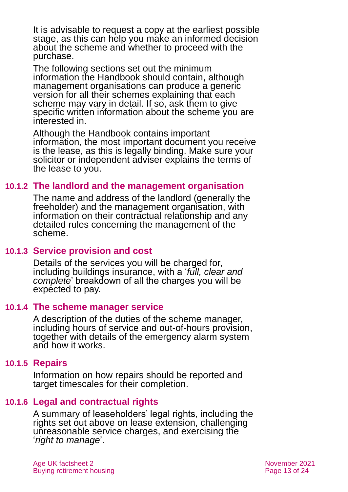It is advisable to request a copy at the earliest possible stage, as this can help you make an informed decision about the scheme and whether to proceed with the purchase.

The following sections set out the minimum information the Handbook should contain, although management organisations can produce a generic version for all their schemes explaining that each scheme may vary in detail. If so, ask them to give specific written information about the scheme you are interested in.

Although the Handbook contains important information, the most important document you receive is the lease, as this is legally binding. Make sure your solicitor or independent adviser explains the terms of the lease to you.

### **10.1.2 The landlord and the management organisation**

The name and address of the landlord (generally the freeholder) and the management organisation, with information on their contractual relationship and any detailed rules concerning the management of the scheme.

### **10.1.3 Service provision and cost**

Details of the services you will be charged for, including buildings insurance, with a '*full, clear and complete*' breakdown of all the charges you will be expected to pay.

### **10.1.4 The scheme manager service**

A description of the duties of the scheme manager, including hours of service and out-of-hours provision, together with details of the emergency alarm system and how it works.

### **10.1.5 Repairs**

Information on how repairs should be reported and target timescales for their completion.

### **10.1.6 Legal and contractual rights**

A summary of leaseholders' legal rights, including the rights set out above on lease extension, challenging unreasonable service charges, and exercising the '*right to manage*'.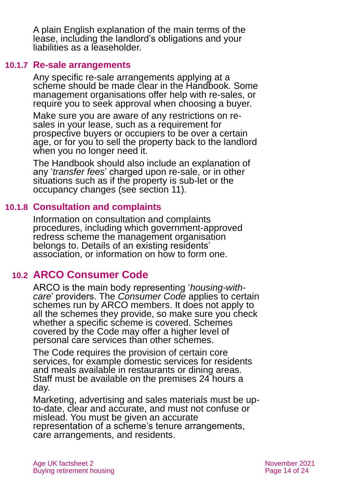A plain English explanation of the main terms of the lease, including the landlord's obligations and your liabilities as a leaseholder.

#### **10.1.7 Re-sale arrangements**

Any specific re-sale arrangements applying at a scheme should be made clear in the Handbook. Some management organisations offer help with re-sales, or require you to seek approval when choosing a buyer.

Make sure you are aware of any restrictions on resales in your lease, such as a requirement for prospective buyers or occupiers to be over a certain age, or for you to sell the property back to the landlord when you no longer need it.

The Handbook should also include an explanation of any '*transfer fees*' charged upon re-sale, or in other situations such as if the property is sub-let or the occupancy changes (see [section](#page-15-0) 11).

### **10.1.8 Consultation and complaints**

Information on consultation and complaints procedures, including which government-approved redress scheme the management organisation belongs to. Details of an existing residents' association, or information on how to form one.

### **10.2 ARCO Consumer Code**

ARCO is the main body representing '*housing-withcare*' providers. The *[Consumer Code](https://www.arcouk.org/arco-consumer-code)* applies to certain schemes run by ARCO members. It does not apply to all the schemes they provide, so make sure you check whether a specific scheme is covered. Schemes covered by the Code may offer a higher level of personal care services than other schemes.

The Code requires the provision of certain core services, for example domestic services for residents and meals available in restaurants or dining areas. Staff must be available on the premises 24 hours a day.

Marketing, advertising and sales materials must be upto-date, clear and accurate, and must not confuse or mislead. You must be given an accurate representation of a scheme's tenure arrangements, care arrangements, and residents.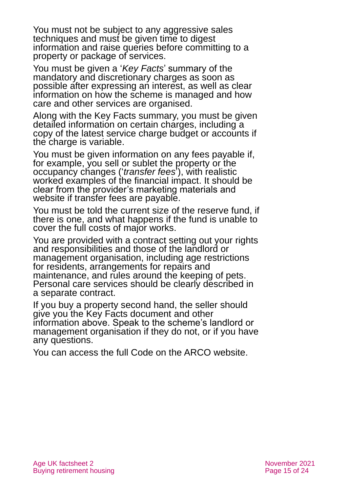You must not be subject to any aggressive sales techniques and must be given time to digest information and raise queries before committing to a property or package of services.

You must be given a '*Key Facts*' summary of the mandatory and discretionary charges as soon as possible after expressing an interest, as well as clear information on how the scheme is managed and how care and other services are organised.

Along with the Key Facts summary, you must be given detailed information on certain charges, including a copy of the latest service charge budget or accounts if the charge is variable.

You must be given information on any fees payable if, for example, you sell or sublet the property or the occupancy changes ('*transfer fees*'), with realistic worked examples of the financial impact. It should be clear from the provider's marketing materials and website if transfer fees are payable.

You must be told the current size of the reserve fund, if there is one, and what happens if the fund is unable to cover the full costs of major works.

You are provided with a contract setting out your rights and responsibilities and those of the landlord or management organisation, including age restrictions for residents, arrangements for repairs and maintenance, and rules around the keeping of pets. Personal care services should be clearly described in a separate contract.

If you buy a property second hand, the seller should give you the Key Facts document and other information above. Speak to the scheme's landlord or management organisation if they do not, or if you have any questions.

You can access the full Code on the [ARCO website.](https://www.arcouk.org/)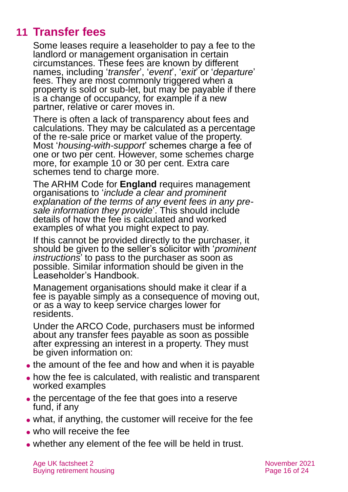# **11 Transfer fees**

<span id="page-15-0"></span>Some leases require a leaseholder to pay a fee to the landlord or management organisation in certain circumstances. These fees are known by different names, including '*transfer*', '*event*', '*exit*' or '*departure*' fees. They are most commonly triggered when a property is sold or sub-let, but may be payable if there is a change of occupancy, for example if a new partner, relative or carer moves in.

There is often a lack of transparency about fees and calculations. They may be calculated as a percentage of the re-sale price or market value of the property. Most '*housing-with-support*' schemes charge a fee of one or two per cent. However, some schemes charge more, for example 10 or 30 per cent. Extra care schemes tend to charge more.

The ARHM Code for **England** requires management organisations to '*include a clear and prominent explanation of the terms of any event fees in any presale information they provide*'. This should include details of how the fee is calculated and worked examples of what you might expect to pay.

If this cannot be provided directly to the purchaser, it should be given to the seller's solicitor with '*prominent instructions*' to pass to the purchaser as soon as possible. Similar information should be given in the Leaseholder's Handbook.

Management organisations should make it clear if a fee is payable simply as a consequence of moving out, or as a way to keep service charges lower for residents.

Under the ARCO Code, purchasers must be informed about any transfer fees payable as soon as possible after expressing an interest in a property. They must be given information on:

- the amount of the fee and how and when it is payable
- how the fee is calculated, with realistic and transparent worked examples
- the percentage of the fee that goes into a reserve fund, if any
- ⚫ what, if anything, the customer will receive for the fee
- ⚫ who will receive the fee
- ⚫ whether any element of the fee will be held in trust.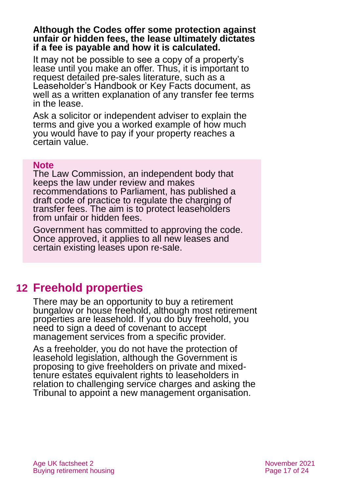#### **Although the Codes offer some protection against unfair or hidden fees, the lease ultimately dictates if a fee is payable and how it is calculated.**

It may not be possible to see a copy of a property's lease until you make an offer. Thus, it is important to request detailed pre-sales literature, such as a Leaseholder's Handbook or Key Facts document, as well as a written explanation of any transfer fee terms in the lease.

Ask a solicitor or independent adviser to explain the terms and give you a worked example of how much you would have to pay if your property reaches a certain value.

#### **Note**

The Law Commission, an independent body that keeps the law under review and makes recommendations to Parliament, has published a draft code of practice to regulate the charging of transfer fees. The aim is to protect leaseholders from unfair or hidden fees.

Government has committed to approving the code. Once approved, it applies to all new leases and certain existing leases upon re-sale.

# <span id="page-16-0"></span>**12 Freehold properties**

There may be an opportunity to buy a retirement bungalow or house freehold, although most retirement properties are leasehold. If you do buy freehold, you need to sign a deed of covenant to accept management services from a specific provider.

As a freeholder, you do not have the protection of leasehold legislation, although the Government is proposing to give freeholders on private and mixedtenure estates equivalent rights to leaseholders in relation to challenging service charges and asking the Tribunal to appoint a new management organisation.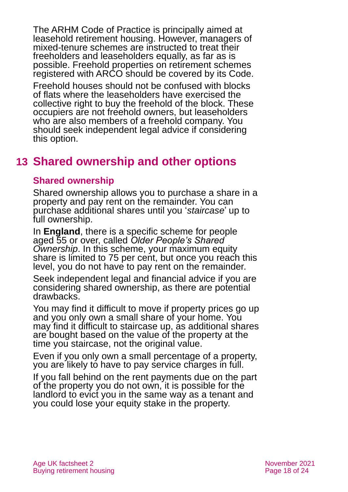The ARHM Code of Practice is principally aimed at leasehold retirement housing. However, managers of mixed-tenure schemes are instructed to treat their freeholders and leaseholders equally, as far as is possible. Freehold properties on retirement schemes registered with ARCO should be covered by its Code.

Freehold houses should not be confused with blocks of flats where the leaseholders have exercised the collective right to buy the freehold of the block. These occupiers are not freehold owners, but leaseholders who are also members of a freehold company. You should seek independent legal advice if considering this option.

### <span id="page-17-0"></span>**13 Shared ownership and other options**

### **Shared ownership**

Shared ownership allows you to purchase a share in a property and pay rent on the remainder. You can purchase additional shares until you '*staircase*' up to full ownership.

In **England**, there is a specific scheme for people aged 55 or over, called *Older People's Shared Ownership*. In this scheme, your maximum equity share is limited to 75 per cent, but once you reach this level, you do not have to pay rent on the remainder.

Seek independent legal and financial advice if you are considering shared ownership, as there are potential drawbacks.

You may find it difficult to move if property prices go up and you only own a small share of your home. You may find it difficult to staircase up, as additional shares are bought based on the value of the property at the time you staircase, not the original value.

Even if you only own a small percentage of a property, you are likely to have to pay service charges in full.

If you fall behind on the rent payments due on the part of the property you do not own, it is possible for the landlord to evict you in the same way as a tenant and you could lose your equity stake in the property.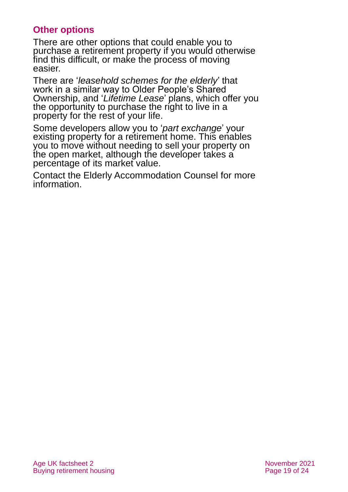### **Other options**

There are other options that could enable you to purchase a retirement property if you would otherwise find this difficult, or make the process of moving easier.

There are '*leasehold schemes for the elderly*' that work in a similar way to Older People's Shared Ownership, and '*Lifetime Lease*' plans, which offer you the opportunity to purchase the right to live in a property for the rest of your life.

Some developers allow you to '*part exchange*' your existing property for a retirement home. This enables you to move without needing to sell your property on the open market, although the developer takes a percentage of its market value.

Contact the [Elderly Accommodation Counsel](https://housingcare.org/) for more information.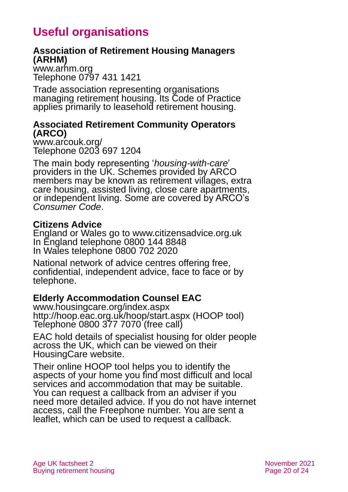# **Useful organisations**

### <span id="page-19-0"></span>**Association of Retirement Housing Managers (ARHM)**

[www.arhm.org](http://www.arhm.org/) Telephone 0797 431 1421

Trade association representing organisations managing retirement housing. Its Code of Practice applies primarily to leasehold retirement housing.

### **Associated Retirement Community Operators (ARCO)**

[www.arcouk.org/](http://www.arcouk.org/) Telephone 0203 697 1204

The main body representing '*housing-with-care*' providers in the UK. Schemes provided by ARCO members may be known as retirement villages, extra care housing, assisted living, close care apartments, or independent living. Some are covered by ARCO's *Consumer Code*.

### **Citizens Advice**

England or Wales go to [www.citizensadvice.org.uk](http://www.citizensadvice.org.uk/) In England telephone 0800 144 8848 In Wales telephone 0800 702 2020

National network of advice centres offering free, confidential, independent advice, face to face or by telephone.

### **Elderly Accommodation Counsel EAC**

[www.housingcare.org/index.aspx](http://www.housingcare.org/index.aspx) <http://hoop.eac.org.uk/hoop/start.aspx> (HOOP tool) Telephone 0800 377 7070 (free call)

EAC hold details of specialist housing for older people across the UK, which can be viewed on their HousingCare website.

Their online HOOP tool helps you to identify the aspects of your home you find most difficult and local services and accommodation that may be suitable. You can request a callback from an adviser if you need more detailed advice. If you do not have internet access, call the Freephone number. You are sent a leaflet, which can be used to request a callback.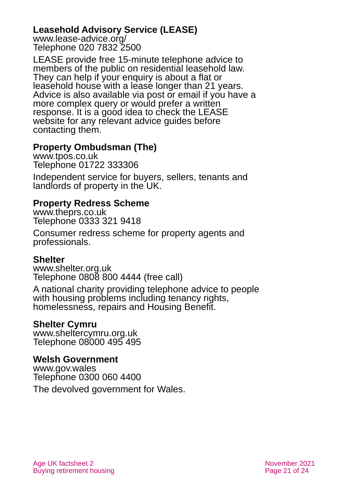### **Leasehold Advisory Service (LEASE)**

[www.lease-advice.org/](http://www.lease-advice.org/) Telephone 020 7832 2500

LEASE provide free 15-minute telephone advice to members of the public on residential leasehold law. They can help if your enquiry is about a flat or leasehold house with a lease longer than 21 years. Advice is also available via post or email if you have a more complex query or would prefer a written response. It is a good idea to check the LEASE website for any relevant advice guides before contacting them.

### **Property Ombudsman (The)**

[www.tpos.co.uk](http://www.tpos.co.uk/) Telephone 01722 333306

Independent service for buyers, sellers, tenants and landlords of property in the UK.

### **Property Redress Scheme**

[www.theprs.co.uk](http://www.theprs.co.uk/) Telephone 0333 321 9418

Consumer redress scheme for property agents and professionals.

### **Shelter**

[www.shelter.org.uk](http://www.shelter.org.uk/) Telephone 0808 800 4444 (free call)

A national charity providing telephone advice to people with housing problems including tenancy rights, homelessness, repairs and Housing Benefit.

### **Shelter Cymru**

[www.sheltercymru.org.uk](http://www.sheltercymru.org.uk/) Telephone 08000 495 495

### **Welsh Government**

[www.gov.wales](http://www.gov.wales/) Telephone 0300 060 4400

The devolved government for Wales.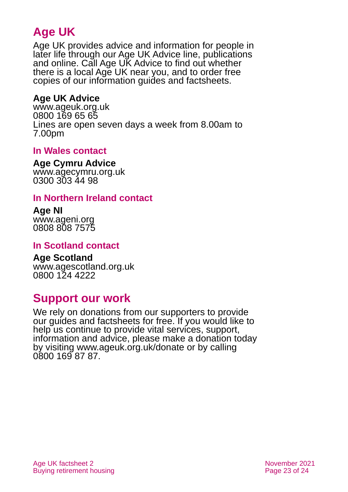# **Age UK**

Age UK provides advice and information for people in later life through our Age UK Advice line, publications and online. Call Age UK Advice to find out whether there is a local Age UK near you, and to order free copies of our information guides and factsheets.

### <span id="page-22-2"></span>**Age UK Advice**

[www.ageuk.org.uk](http://www.ageuk.org.uk/) 0800 169 65 65 Lines are open seven days a week from 8.00am to 7.00pm

### **In Wales contact**

#### **Age Cymru Advice**

[www.agecymru.org.uk](http://www.agecymru.org.uk/) 0300 303 44 98

### <span id="page-22-1"></span>**In Northern Ireland contact**

#### **Age NI** [www.ageni.org](http://www.ageni.org/)

0808 808 7575

### <span id="page-22-0"></span>**In Scotland contact**

# <span id="page-22-3"></span>**Age Scotland**

[www.agescotland.org.uk](http://www.agescotland.org.uk/) 0800 124 4222

### **Support our work**

We rely on donations from our supporters to provide our guides and factsheets for free. If you would like to help us continue to provide vital services, support, information and advice, please make a donation today by visiting [www.ageuk.org.uk/donate](http://www.ageuk.org.uk/donate) or by calling 0800 169 87 87.